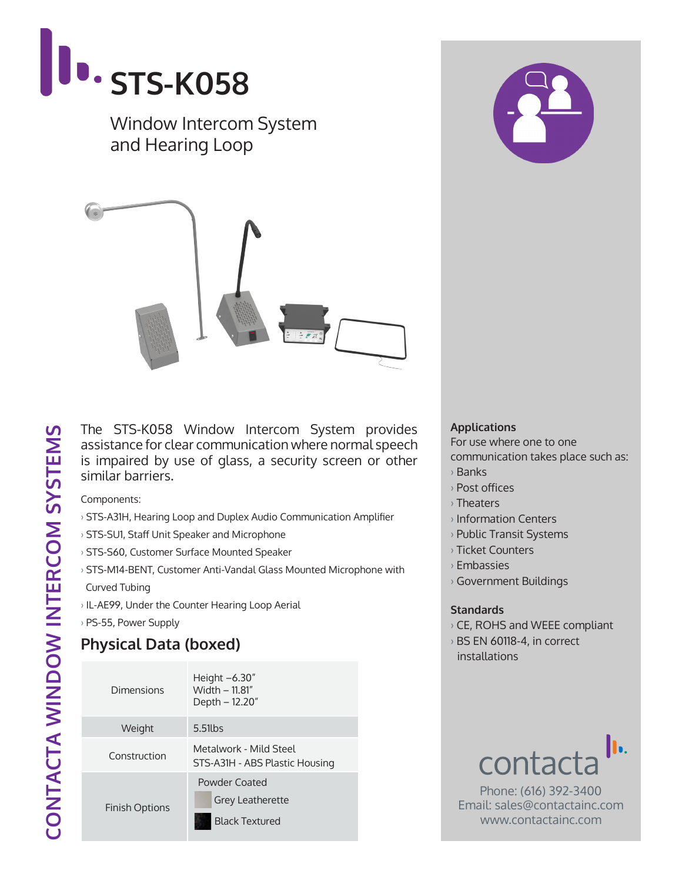

Window Intercom System and Hearing Loop



The STS-K058 Window Intercom System provides assistance for clear communication where normal speech is impaired by use of glass, a security screen or other similar barriers.

Components:

- › STS-A31H, Hearing Loop and Duplex Audio Communication Amplifier
- › STS-SU1, Staff Unit Speaker and Microphone
- › STS-S60, Customer Surface Mounted Speaker
- › STS-M14-BENT, Customer Anti-Vandal Glass Mounted Microphone with
- Curved Tubing
- › IL-AE99, Under the Counter Hearing Loop Aerial
- › PS-55, Power Supply

## **Physical Data (boxed)**

| Dimensions            | Height $-6.30''$<br>Width - 11.81"<br>Depth – 12.20"              |  |
|-----------------------|-------------------------------------------------------------------|--|
| Weight                | $5.51$ lbs                                                        |  |
| Construction          | Metalwork - Mild Steel<br>STS-A31H - ABS Plastic Housing          |  |
| <b>Finish Options</b> | Powder Coated<br><b>Grey Leatherette</b><br><b>Black Textured</b> |  |

## **Applications**

For use where one to one

- communication takes place such as:
- › Banks
- › Post offices
- › Theaters
- › Information Centers
- › Public Transit Systems
- › Ticket Counters
- › Embassies
- › Government Buildings

## **Standards**

- › CE, ROHS and WEEE compliant
- › BS EN 60118-4, in correct installations



Phone: (616) 392-3400 Email: sales@contactainc.com www.contactainc.com